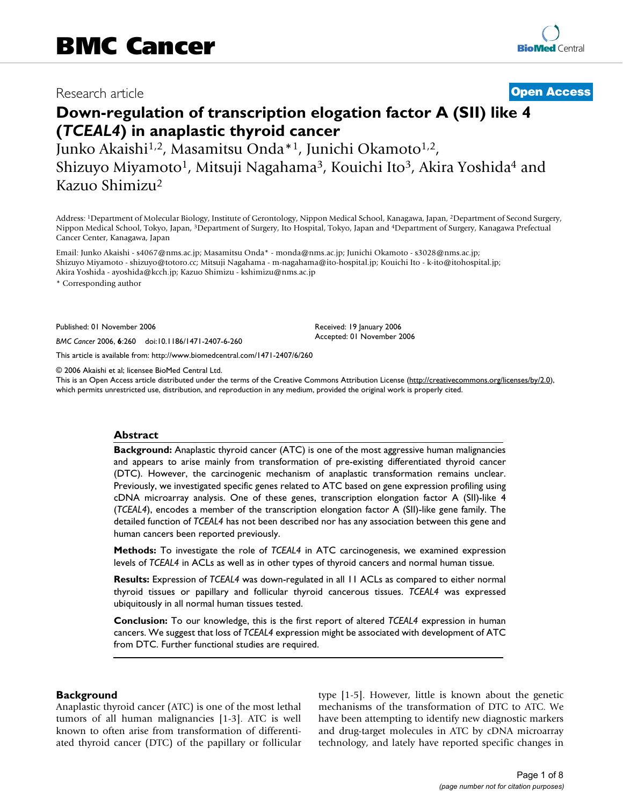# Research article **[Open Access](http://www.biomedcentral.com/info/about/charter/)**

# **Down-regulation of transcription elogation factor A (SII) like 4 (***TCEAL4***) in anaplastic thyroid cancer**

Junko Akaishi<sup>1,2</sup>, Masamitsu Onda<sup>\*1</sup>, Junichi Okamoto<sup>1,2</sup>, Shizuyo Miyamoto<sup>1</sup>, Mitsuji Nagahama<sup>3</sup>, Kouichi Ito<sup>3</sup>, Akira Yoshida<sup>4</sup> and Kazuo Shimizu2

Address: 1Department of Molecular Biology, Institute of Gerontology, Nippon Medical School, Kanagawa, Japan, 2Department of Second Surgery, Nippon Medical School, Tokyo, Japan, 3Department of Surgery, Ito Hospital, Tokyo, Japan and 4Department of Surgery, Kanagawa Prefectual Cancer Center, Kanagawa, Japan

Email: Junko Akaishi - s4067@nms.ac.jp; Masamitsu Onda\* - monda@nms.ac.jp; Junichi Okamoto - s3028@nms.ac.jp; Shizuyo Miyamoto - shizuyo@totoro.cc; Mitsuji Nagahama - m-nagahama@ito-hospital.jp; Kouichi Ito - k-ito@itohospital.jp; Akira Yoshida - ayoshida@kcch.jp; Kazuo Shimizu - kshimizu@nms.ac.jp

\* Corresponding author

Published: 01 November 2006

*BMC Cancer* 2006, **6**:260 doi:10.1186/1471-2407-6-260

[This article is available from: http://www.biomedcentral.com/1471-2407/6/260](http://www.biomedcentral.com/1471-2407/6/260)

© 2006 Akaishi et al; licensee BioMed Central Ltd.

This is an Open Access article distributed under the terms of the Creative Commons Attribution License [\(http://creativecommons.org/licenses/by/2.0\)](http://creativecommons.org/licenses/by/2.0), which permits unrestricted use, distribution, and reproduction in any medium, provided the original work is properly cited.

Received: 19 January 2006 Accepted: 01 November 2006

#### **Abstract**

**Background:** Anaplastic thyroid cancer (ATC) is one of the most aggressive human malignancies and appears to arise mainly from transformation of pre-existing differentiated thyroid cancer (DTC). However, the carcinogenic mechanism of anaplastic transformation remains unclear. Previously, we investigated specific genes related to ATC based on gene expression profiling using cDNA microarray analysis. One of these genes, transcription elongation factor A (SII)-like 4 (*TCEAL4*), encodes a member of the transcription elongation factor A (SII)-like gene family. The detailed function of *TCEAL4* has not been described nor has any association between this gene and human cancers been reported previously.

**Methods:** To investigate the role of *TCEAL4* in ATC carcinogenesis, we examined expression levels of *TCEAL4* in ACLs as well as in other types of thyroid cancers and normal human tissue.

**Results:** Expression of *TCEAL4* was down-regulated in all 11 ACLs as compared to either normal thyroid tissues or papillary and follicular thyroid cancerous tissues. *TCEAL4* was expressed ubiquitously in all normal human tissues tested.

**Conclusion:** To our knowledge, this is the first report of altered *TCEAL4* expression in human cancers. We suggest that loss of *TCEAL4* expression might be associated with development of ATC from DTC. Further functional studies are required.

#### **Background**

Anaplastic thyroid cancer (ATC) is one of the most lethal tumors of all human malignancies [1-3]. ATC is well known to often arise from transformation of differentiated thyroid cancer (DTC) of the papillary or follicular type [1-5]. However, little is known about the genetic mechanisms of the transformation of DTC to ATC. We have been attempting to identify new diagnostic markers and drug-target molecules in ATC by cDNA microarray technology, and lately have reported specific changes in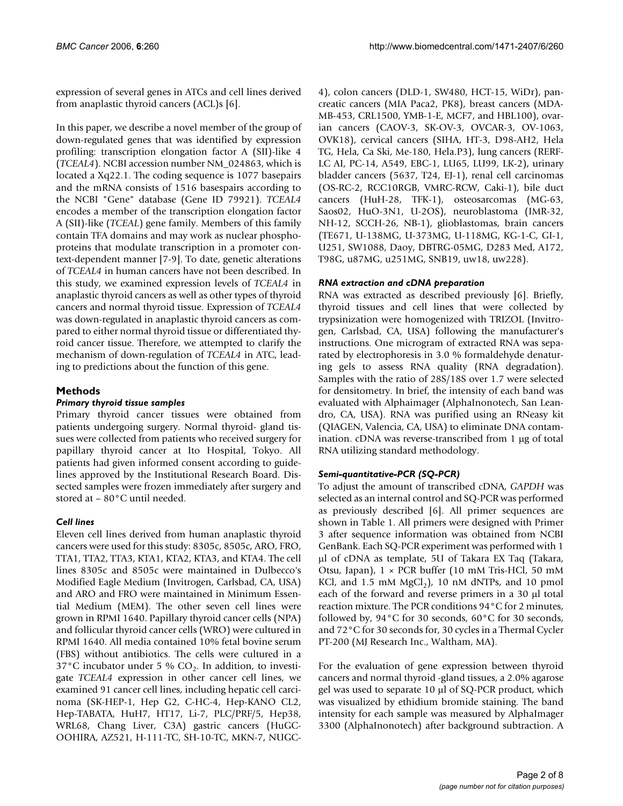expression of several genes in ATCs and cell lines derived from anaplastic thyroid cancers (ACL)s [6].

In this paper, we describe a novel member of the group of down-regulated genes that was identified by expression profiling: transcription elongation factor A (SII)-like 4 (*TCEAL4*). NCBI accession number NM\_024863, which is located a Xq22.1. The coding sequence is 1077 basepairs and the mRNA consists of 1516 basespairs according to the NCBI "Gene" database (Gene ID 79921). *TCEAL4* encodes a member of the transcription elongation factor A (SII)-like (*TCEAL*) gene family. Members of this family contain TFA domains and may work as nuclear phosphoproteins that modulate transcription in a promoter context-dependent manner [7-9]. To date, genetic alterations of *TCEAL4* in human cancers have not been described. In this study, we examined expression levels of *TCEAL4* in anaplastic thyroid cancers as well as other types of thyroid cancers and normal thyroid tissue. Expression of *TCEAL4* was down-regulated in anaplastic thyroid cancers as compared to either normal thyroid tissue or differentiated thyroid cancer tissue. Therefore, we attempted to clarify the mechanism of down-regulation of *TCEAL4* in ATC, leading to predictions about the function of this gene.

# **Methods**

#### *Primary thyroid tissue samples*

Primary thyroid cancer tissues were obtained from patients undergoing surgery. Normal thyroid- gland tissues were collected from patients who received surgery for papillary thyroid cancer at Ito Hospital, Tokyo. All patients had given informed consent according to guidelines approved by the Institutional Research Board. Dissected samples were frozen immediately after surgery and stored at – 80°C until needed.

## *Cell lines*

Eleven cell lines derived from human anaplastic thyroid cancers were used for this study: 8305c, 8505c, ARO, FRO, TTA1, TTA2, TTA3, KTA1, KTA2, KTA3, and KTA4. The cell lines 8305c and 8505c were maintained in Dulbecco's Modified Eagle Medium (Invitrogen, Carlsbad, CA, USA) and ARO and FRO were maintained in Minimum Essential Medium (MEM). The other seven cell lines were grown in RPMI 1640. Papillary thyroid cancer cells (NPA) and follicular thyroid cancer cells (WRO) were cultured in RPMI 1640. All media contained 10% fetal bovine serum (FBS) without antibiotics. The cells were cultured in a 37°C incubator under 5 %  $CO<sub>2</sub>$ . In addition, to investigate *TCEAL4* expression in other cancer cell lines, we examined 91 cancer cell lines, including hepatic cell carcinoma (SK-HEP-1, Hep G2, C-HC-4, Hep-KANO CL2, Hep-TABATA, HuH7, HT17, Li-7, PLC/PRF/5, Hep38, WRL68, Chang Liver, C3A) gastric cancers (HuGC-OOHIRA, AZ521, H-111-TC, SH-10-TC, MKN-7, NUGC-

4), colon cancers (DLD-1, SW480, HCT-15, WiDr), pancreatic cancers (MIA Paca2, PK8), breast cancers (MDA-MB-453, CRL1500, YMB-1-E, MCF7, and HBL100), ovarian cancers (CAOV-3, SK-OV-3, OVCAR-3, OV-1063, OVK18), cervical cancers (SIHA, HT-3, D98-AH2, Hela TG, Hela, Ca Ski, Me-180, Hela.P3), lung cancers (RERF-LC AI, PC-14, A549, EBC-1, LU65, LU99, LK-2), urinary bladder cancers (5637, T24, EJ-1), renal cell carcinomas (OS-RC-2, RCC10RGB, VMRC-RCW, Caki-1), bile duct cancers (HuH-28, TFK-1), osteosarcomas (MG-63, Saos02, HuO-3N1, U-2OS), neuroblastoma (IMR-32, NH-12, SCCH-26, NB-1), glioblastomas, brain cancers (TE671, U-138MG, U-373MG, U-118MG, KG-1-C, GI-1, U251, SW1088, Daoy, DBTRG-05MG, D283 Med, A172, T98G, u87MG, u251MG, SNB19, uw18, uw228).

## *RNA extraction and cDNA preparation*

RNA was extracted as described previously [6]. Briefly, thyroid tissues and cell lines that were collected by trypsinization were homogenized with TRIZOL (Invitrogen, Carlsbad, CA, USA) following the manufacturer's instructions. One microgram of extracted RNA was separated by electrophoresis in 3.0 % formaldehyde denaturing gels to assess RNA quality (RNA degradation). Samples with the ratio of 28S/18S over 1.7 were selected for densitometry. In brief, the intensity of each band was evaluated with Alphaimager (AlphaInonotech, San Leandro, CA, USA). RNA was purified using an RNeasy kit (QIAGEN, Valencia, CA, USA) to eliminate DNA contamination. cDNA was reverse-transcribed from 1 µg of total RNA utilizing standard methodology.

## *Semi-quantitative-PCR (SQ-PCR)*

To adjust the amount of transcribed cDNA, *GAPDH* was selected as an internal control and SQ-PCR was performed as previously described [6]. All primer sequences are shown in Table 1. All primers were designed with Primer 3 after sequence information was obtained from NCBI GenBank. Each SQ-PCR experiment was performed with 1 µl of cDNA as template, 5U of Takara EX Taq (Takara, Otsu, Japan), 1 × PCR buffer (10 mM Tris-HCl, 50 mM KCl, and 1.5 mM  $MgCl<sub>2</sub>$ ), 10 nM dNTPs, and 10 pmol each of the forward and reverse primers in a 30 µl total reaction mixture. The PCR conditions 94°C for 2 minutes, followed by, 94°C for 30 seconds, 60°C for 30 seconds, and 72°C for 30 seconds for, 30 cycles in a Thermal Cycler PT-200 (MJ Research Inc., Waltham, MA).

For the evaluation of gene expression between thyroid cancers and normal thyroid -gland tissues, a 2.0% agarose gel was used to separate 10 µl of SQ-PCR product, which was visualized by ethidium bromide staining. The band intensity for each sample was measured by AlphaImager 3300 (AlphaInonotech) after background subtraction. A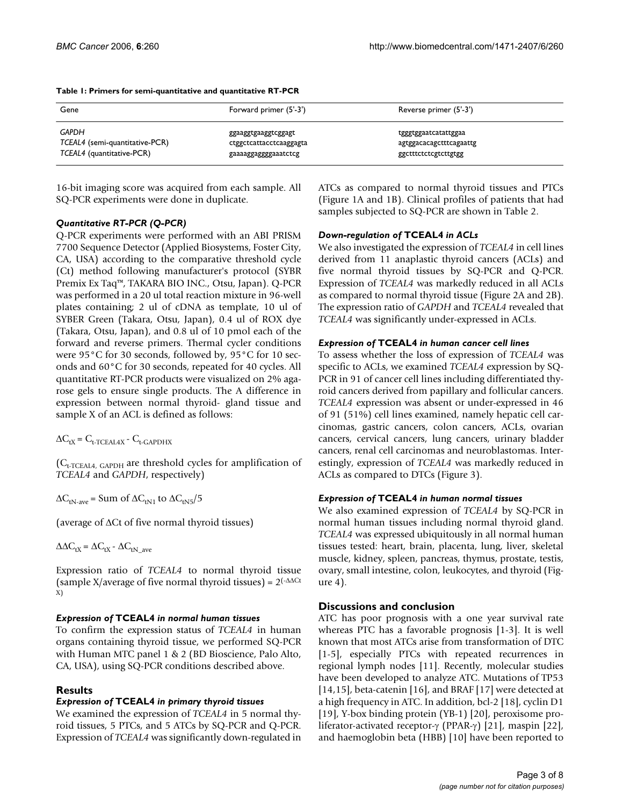| Gene                           | Forward primer (5'-3')  | Reverse primer (5'-3')  |
|--------------------------------|-------------------------|-------------------------|
| GAPDH                          | ggaaggtgaaggtcggagt     | tgggtggaatcatattggaa    |
| TCEAL4 (semi-quantitative-PCR) | ctggctcattacctcaaggagta | agtggacacagctttcagaattg |
| TCEAL4 (quantitative-PCR)      | gaaaaggaggggaaatctcg    | ggctttctctcgtcttgtgg    |

#### **Table 1: Primers for semi-quantitative and quantitative RT-PCR**

16-bit imaging score was acquired from each sample. All SQ-PCR experiments were done in duplicate.

## *Quantitative RT-PCR (Q-PCR)*

Q-PCR experiments were performed with an ABI PRISM 7700 Sequence Detector (Applied Biosystems, Foster City, CA, USA) according to the comparative threshold cycle (Ct) method following manufacturer's protocol (SYBR Premix Ex Taq™, TAKARA BIO INC., Otsu, Japan). Q-PCR was performed in a 20 ul total reaction mixture in 96-well plates containing; 2 ul of cDNA as template, 10 ul of SYBER Green (Takara, Otsu, Japan), 0.4 ul of ROX dye (Takara, Otsu, Japan), and 0.8 ul of 10 pmol each of the forward and reverse primers. Thermal cycler conditions were 95°C for 30 seconds, followed by, 95°C for 10 seconds and 60°C for 30 seconds, repeated for 40 cycles. All quantitative RT-PCR products were visualized on 2% agarose gels to ensure single products. The A difference in expression between normal thyroid- gland tissue and sample X of an ACL is defined as follows:

 $\Delta C_{tX} = C_{t-TCEAL4X} - C_{t-GAPDHX}$ 

 $(C_{t-TCEALA, GAPDH}$  are threshold cycles for amplification of *TCEAL4* and *GAPDH*, respectively)

 $\Delta C_{tN\text{-}ave}$  = Sum of  $\Delta C_{tN1}$  to  $\Delta C_{tN5}/5$ 

(average of ∆Ct of five normal thyroid tissues)

 $\Delta \Delta C_{tX} = \Delta C_{tX} - \Delta C_{tN}$  ave

Expression ratio of *TCEAL4* to normal thyroid tissue (sample X/average of five normal thyroid tissues) =  $2(-\Delta \Delta \text{Ct})$ X)

## *Expression of* **TCEAL4** *in normal human tissues*

To confirm the expression status of *TCEAL4* in human organs containing thyroid tissue, we performed SQ-PCR with Human MTC panel 1 & 2 (BD Bioscience, Palo Alto, CA, USA), using SQ-PCR conditions described above.

# **Results**

## *Expression of* **TCEAL4** *in primary thyroid tissues*

We examined the expression of *TCEAL4* in 5 normal thyroid tissues, 5 PTCs, and 5 ATCs by SQ-PCR and Q-PCR. Expression of *TCEAL4* was significantly down-regulated in

ATCs as compared to normal thyroid tissues and PTCs (Figure 1A and 1B). Clinical profiles of patients that had samples subjected to SQ-PCR are shown in Table 2.

# *Down-regulation of* **TCEAL4** *in ACLs*

We also investigated the expression of *TCEAL4* in cell lines derived from 11 anaplastic thyroid cancers (ACLs) and five normal thyroid tissues by SQ-PCR and Q-PCR. Expression of *TCEAL4* was markedly reduced in all ACLs as compared to normal thyroid tissue (Figure 2A and 2B). The expression ratio of *GAPDH* and *TCEAL4* revealed that *TCEAL4* was significantly under-expressed in ACLs.

## *Expression of* **TCEAL4** *in human cancer cell lines*

To assess whether the loss of expression of *TCEAL4* was specific to ACLs, we examined *TCEAL4* expression by SQ-PCR in 91 of cancer cell lines including differentiated thyroid cancers derived from papillary and follicular cancers. *TCEAL4* expression was absent or under-expressed in 46 of 91 (51%) cell lines examined, namely hepatic cell carcinomas, gastric cancers, colon cancers, ACLs, ovarian cancers, cervical cancers, lung cancers, urinary bladder cancers, renal cell carcinomas and neuroblastomas. Interestingly, expression of *TCEAL4* was markedly reduced in ACLs as compared to DTCs (Figure 3).

## *Expression of* **TCEAL4** *in human normal tissues*

We also examined expression of *TCEAL4* by SQ-PCR in normal human tissues including normal thyroid gland. *TCEAL4* was expressed ubiquitously in all normal human tissues tested: heart, brain, placenta, lung, liver, skeletal muscle, kidney, spleen, pancreas, thymus, prostate, testis, ovary, small intestine, colon, leukocytes, and thyroid (Figure 4).

## **Discussions and conclusion**

ATC has poor prognosis with a one year survival rate whereas PTC has a favorable prognosis [1-3]. It is well known that most ATCs arise from transformation of DTC [1-5], especially PTCs with repeated recurrences in regional lymph nodes [11]. Recently, molecular studies have been developed to analyze ATC. Mutations of TP53 [14,15], beta-catenin [16], and BRAF [17] were detected at a high frequency in ATC. In addition, bcl-2 [18], cyclin D1 [19], Y-box binding protein (YB-1) [20], peroxisome proliferator-activated receptor-γ (PPAR-γ) [21], maspin [22], and haemoglobin beta (HBB) [10] have been reported to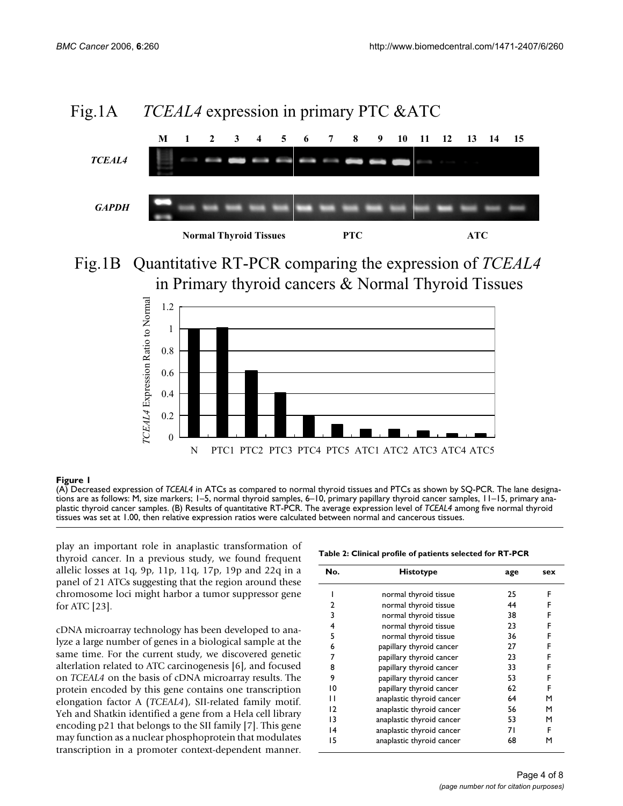

# Fig.1A *TCEAL4* expression in primary PTC &ATC





#### (A) Decreased expression of **Figure 1** *TCEAL4* in ATCs as compared to normal thyroid tissues and PTCs as shown by SQ-PCR

(A) Decreased expression of *TCEAL4* in ATCs as compared to normal thyroid tissues and PTCs as shown by SQ-PCR. The lane designations are as follows: M, size markers; 1–5, normal thyroid samples, 6–10, primary papillary thyroid cancer samples, 11–15, primary anaplastic thyroid cancer samples. (B) Results of quantitative RT-PCR. The average expression level of *TCEAL4* among five normal thyroid tissues was set at 1.00, then relative expression ratios were calculated between normal and cancerous tissues.

play an important role in anaplastic transformation of thyroid cancer. In a previous study, we found frequent allelic losses at 1q, 9p, 11p, 11q, 17p, 19p and 22q in a panel of 21 ATCs suggesting that the region around these chromosome loci might harbor a tumor suppressor gene for ATC [23].

cDNA microarray technology has been developed to analyze a large number of genes in a biological sample at the same time. For the current study, we discovered genetic alterlation related to ATC carcinogenesis [6], and focused on *TCEAL4* on the basis of cDNA microarray results. The protein encoded by this gene contains one transcription elongation factor A (*TCEAL4*), SII-related family motif. Yeh and Shatkin identified a gene from a Hela cell library encoding p21 that belongs to the SII family [7]. This gene may function as a nuclear phosphoprotein that modulates transcription in a promoter context-dependent manner.

| No.            | <b>Histotype</b>          | age | sex |
|----------------|---------------------------|-----|-----|
|                | normal thyroid tissue     | 25  | F   |
| 2              | normal thyroid tissue     | 44  | F   |
| 3              | normal thyroid tissue     | 38  | F   |
| 4              | normal thyroid tissue     | 23  | F   |
| 5              | normal thyroid tissue     | 36  | F   |
| 6              | papillary thyroid cancer  | 27  | F   |
| 7              | papillary thyroid cancer  | 23  | F   |
| 8              | papillary thyroid cancer  | 33  | F   |
| 9              | papillary thyroid cancer  | 53  | F   |
| 10             | papillary thyroid cancer  | 62  | F   |
| п              | anaplastic thyroid cancer | 64  | м   |
| $\overline{2}$ | anaplastic thyroid cancer | 56  | м   |
| 13             | anaplastic thyroid cancer | 53  | м   |
| 14             | anaplastic thyroid cancer | 71  | F   |
| 15             | anaplastic thyroid cancer | 68  | м   |
|                |                           |     |     |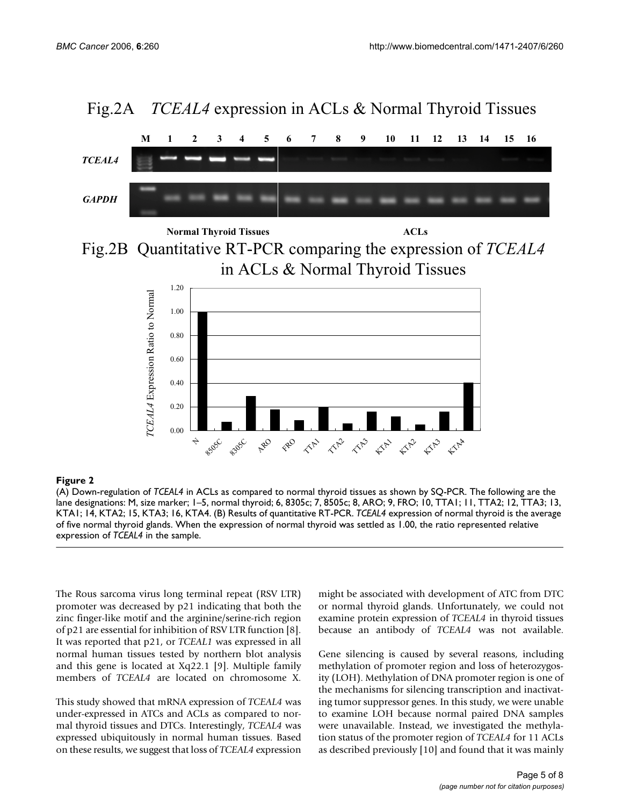

**Normal Thyroid Tissues ACLs** 

Fig.2B Quantitative RT-PCR comparing the expression of *TCEAL4* in ACLs & Normal Thyroid Tissues



## **Figure 2** (A) Down-regulation of *TCEAL4* in ACLs as compared to normal thyroid tissues as shown by SQ-PCR

(A) Down-regulation of *TCEAL4* in ACLs as compared to normal thyroid tissues as shown by SQ-PCR. The following are the lane designations: M, size marker; 1–5, normal thyroid; 6, 8305c; 7, 8505c; 8, ARO; 9, FRO; 10, TTA1; 11, TTA2; 12, TTA3; 13, KTA1; 14, KTA2; 15, KTA3; 16, KTA4. (B) Results of quantitative RT-PCR. *TCEAL4* expression of normal thyroid is the average of five normal thyroid glands. When the expression of normal thyroid was settled as 1.00, the ratio represented relative expression of *TCEAL4* in the sample.

The Rous sarcoma virus long terminal repeat (RSV LTR) promoter was decreased by p21 indicating that both the zinc finger-like motif and the arginine/serine-rich region of p21 are essential for inhibition of RSV LTR function [8]. It was reported that p21, or *TCEAL1* was expressed in all normal human tissues tested by northern blot analysis and this gene is located at Xq22.1 [9]. Multiple family members of *TCEAL4* are located on chromosome X.

This study showed that mRNA expression of *TCEAL4* was under-expressed in ATCs and ACLs as compared to normal thyroid tissues and DTCs. Interestingly, *TCEAL4* was expressed ubiquitously in normal human tissues. Based on these results, we suggest that loss of *TCEAL4* expression

might be associated with development of ATC from DTC or normal thyroid glands. Unfortunately, we could not examine protein expression of *TCEAL4* in thyroid tissues because an antibody of *TCEAL4* was not available.

Gene silencing is caused by several reasons, including methylation of promoter region and loss of heterozygosity (LOH). Methylation of DNA promoter region is one of the mechanisms for silencing transcription and inactivating tumor suppressor genes. In this study, we were unable to examine LOH because normal paired DNA samples were unavailable. Instead, we investigated the methylation status of the promoter region of *TCEAL4* for 11 ACLs as described previously [10] and found that it was mainly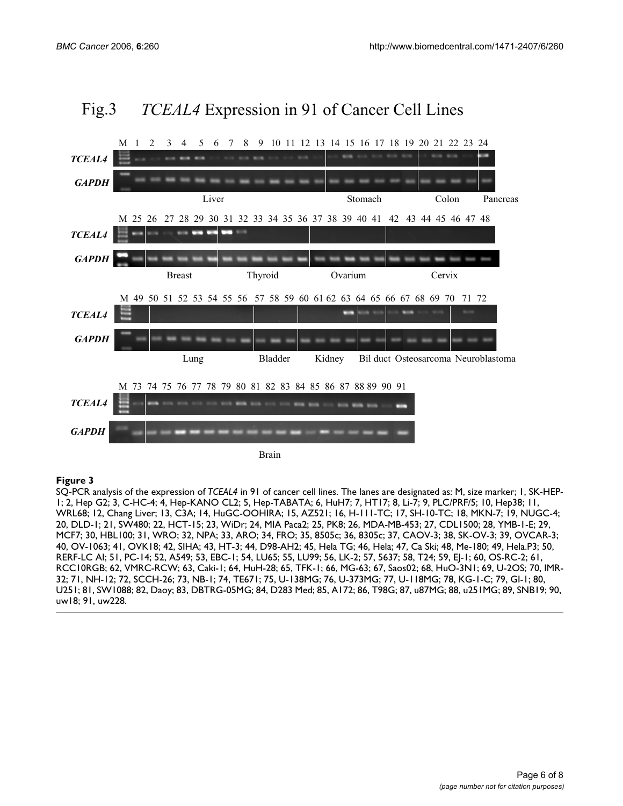

# Fig.3 *TCEAL4* Expression in 91 of Cancer Cell Lines

#### Figure 3

SQ-PCR analysis of the expression of *TCEAL4* in 91 of cancer cell lines. The lanes are designated as: M, size marker; 1, SK-HEP-1; 2, Hep G2; 3, C-HC-4; 4, Hep-KANO CL2; 5, Hep-TABATA; 6, HuH7; 7, HT17; 8, Li-7; 9, PLC/PRF/5; 10, Hep38; 11, WRL68; 12, Chang Liver; 13, C3A; 14, HuGC-OOHIRA; 15, AZ521; 16, H-111-TC; 17, SH-10-TC; 18, MKN-7; 19, NUGC-4; 20, DLD-1; 21, SW480; 22, HCT-15; 23, WiDr; 24, MIA Paca2; 25, PK8; 26, MDA-MB-453; 27, CDL1500; 28, YMB-1-E; 29, MCF7; 30, HBL100; 31, WRO; 32, NPA; 33, ARO; 34, FRO; 35, 8505c; 36, 8305c; 37, CAOV-3; 38, SK-OV-3; 39, OVCAR-3; 40, OV-1063; 41, OVK18; 42, SIHA; 43, HT-3; 44, D98-AH2; 45, Hela TG; 46, Hela; 47, Ca Ski; 48, Me-180; 49, Hela.P3; 50, RERF-LC AI; 51, PC-14; 52, A549; 53, EBC-1; 54, LU65; 55, LU99; 56, LK-2; 57, 5637; 58, T24; 59, EJ-1; 60, OS-RC-2; 61, RCC10RGB; 62, VMRC-RCW; 63, Caki-1; 64, HuH-28; 65, TFK-1; 66, MG-63; 67, Saos02; 68, HuO-3N1; 69, U-2OS; 70, IMR-32; 71, NH-12; 72, SCCH-26; 73, NB-1; 74, TE671; 75, U-138MG; 76, U-373MG; 77, U-118MG; 78, KG-1-C; 79, GI-1; 80, U251; 81, SW1088; 82, Daoy; 83, DBTRG-05MG; 84, D283 Med; 85, A172; 86, T98G; 87, u87MG; 88, u251MG; 89, SNB19; 90, uw18; 91, uw228.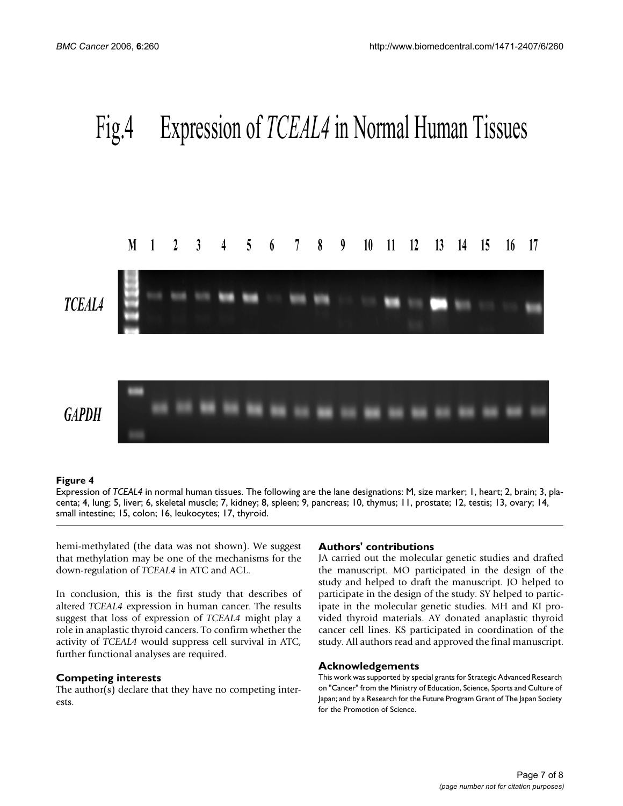

#### **Figure 4**

Expression of *TCEAL4* in normal human tissues. The following are the lane designations: M, size marker; 1, heart; 2, brain; 3, placenta; 4, lung; 5, liver; 6, skeletal muscle; 7, kidney; 8, spleen; 9, pancreas; 10, thymus; 11, prostate; 12, testis; 13, ovary; 14, small intestine; 15, colon; 16, leukocytes; 17, thyroid.

hemi-methylated (the data was not shown). We suggest that methylation may be one of the mechanisms for the down-regulation of *TCEAL4* in ATC and ACL.

In conclusion, this is the first study that describes of altered *TCEAL4* expression in human cancer. The results suggest that loss of expression of *TCEAL4* might play a role in anaplastic thyroid cancers. To confirm whether the activity of *TCEAL4* would suppress cell survival in ATC, further functional analyses are required.

## **Competing interests**

The author(s) declare that they have no competing interests.

## **Authors' contributions**

JA carried out the molecular genetic studies and drafted the manuscript. MO participated in the design of the study and helped to draft the manuscript. JO helped to participate in the design of the study. SY helped to participate in the molecular genetic studies. MH and KI provided thyroid materials. AY donated anaplastic thyroid cancer cell lines. KS participated in coordination of the study. All authors read and approved the final manuscript.

#### **Acknowledgements**

This work was supported by special grants for Strategic Advanced Research on "Cancer" from the Ministry of Education, Science, Sports and Culture of Japan; and by a Research for the Future Program Grant of The Japan Society for the Promotion of Science.